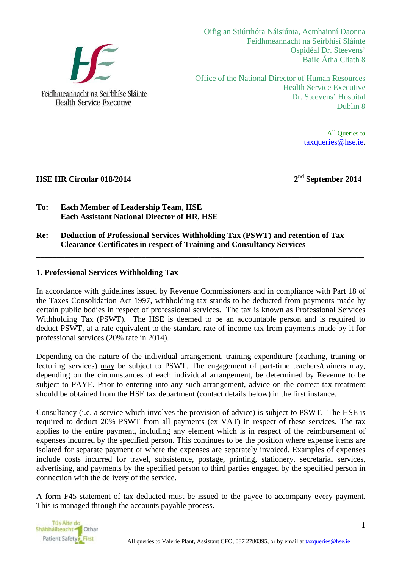

Oifig an Stiúrthóra Náisiúnta, Acmhainní Daonna Feidhmeannacht na Seirbhísí Sláinte Ospidéal Dr. Steevens' Baile Átha Cliath 8

Office of the National Director of Human Resources Health Service Executive Dr. Steevens' Hospital Dublin 8

> All Queries to taxqueries@hse.ie.

## **HSE HR Circular 018/2014** 2<sup>nd</sup> September 2014

- **To: Each Member of Leadership Team, HSE Each Assistant National Director of HR, HSE**
- **Re: Deduction of Professional Services Withholding Tax (PSWT) and retention of Tax Clearance Certificates in respect of Training and Consultancy Services**

## **1. Professional Services Withholding Tax**

In accordance with guidelines issued by Revenue Commissioners and in compliance with Part 18 of the Taxes Consolidation Act 1997, withholding tax stands to be deducted from payments made by certain public bodies in respect of professional services. The tax is known as Professional Services Withholding Tax (PSWT). The HSE is deemed to be an accountable person and is required to deduct PSWT, at a rate equivalent to the standard rate of income tax from payments made by it for professional services (20% rate in 2014).

**\_\_\_\_\_\_\_\_\_\_\_\_\_\_\_\_\_\_\_\_\_\_\_\_\_\_\_\_\_\_\_\_\_\_\_\_\_\_\_\_\_\_\_\_\_\_\_\_\_\_\_\_\_\_\_\_\_\_\_\_\_\_\_\_\_\_\_\_\_\_\_\_\_\_\_\_\_\_\_\_\_** 

Depending on the nature of the individual arrangement, training expenditure (teaching, training or lecturing services) may be subject to PSWT. The engagement of part-time teachers/trainers may, depending on the circumstances of each individual arrangement, be determined by Revenue to be subject to PAYE. Prior to entering into any such arrangement, advice on the correct tax treatment should be obtained from the HSE tax department (contact details below) in the first instance.

Consultancy (i.e. a service which involves the provision of advice) is subject to PSWT. The HSE is required to deduct 20% PSWT from all payments (ex VAT) in respect of these services. The tax applies to the entire payment, including any element which is in respect of the reimbursement of expenses incurred by the specified person. This continues to be the position where expense items are isolated for separate payment or where the expenses are separately invoiced. Examples of expenses include costs incurred for travel, subsistence, postage, printing, stationery, secretarial services, advertising, and payments by the specified person to third parties engaged by the specified person in connection with the delivery of the service.

A form F45 statement of tax deducted must be issued to the payee to accompany every payment. This is managed through the accounts payable process.